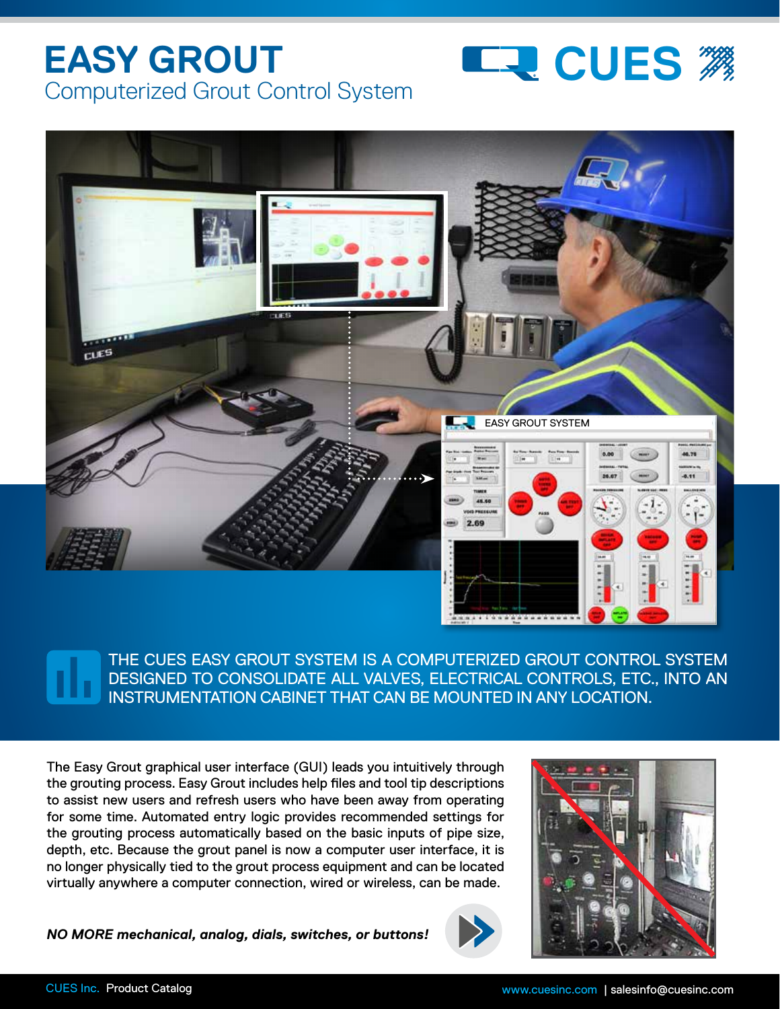## **EASY GROUT**  Computerized Grout Control System





THE CUES EASY GROUT SYSTEM IS A COMPUTERIZED GROUT CONTROL SYSTEM DESIGNED TO CONSOLIDATE ALL VALVES, ELECTRICAL CONTROLS, ETC., INTO AN INSTRUMENTATION CABINET THAT CAN BE MOUNTED IN ANY LOCATION.

The Easy Grout graphical user interface (GUI) leads you intuitively through the grouting process. Easy Grout includes help files and tool tip descriptions to assist new users and refresh users who have been away from operating for some time. Automated entry logic provides recommended settings for the grouting process automatically based on the basic inputs of pipe size, depth, etc. Because the grout panel is now a computer user interface, it is no longer physically tied to the grout process equipment and can be located virtually anywhere a computer connection, wired or wireless, can be made.

*NO MORE mechanical, analog, dials, switches, or buttons!*